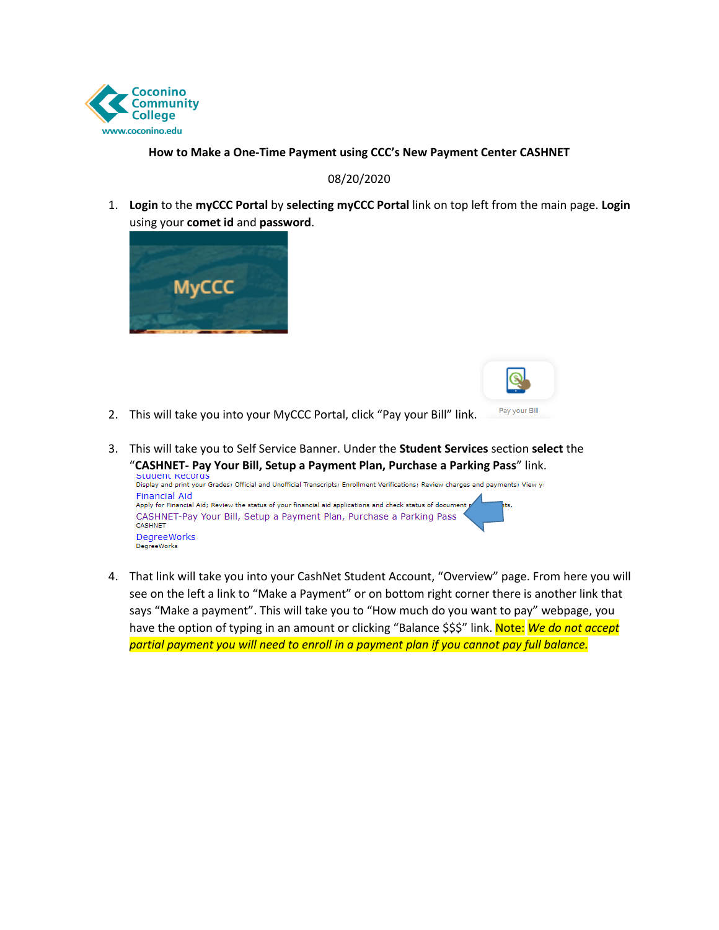

## **How to Make a One-Time Payment using CCC's New Payment Center CASHNET**

## 08/20/2020

1. **Login** to the **myCCC Portal** by **selecting myCCC Portal** link on top left from the main page. **Login**  using your **comet id** and **password**.





- 2. This will take you into your MyCCC Portal, click "Pay your Bill" link.
- 3. This will take you to Self Service Banner. Under the **Student Services** section **select** the "**CASHNET- Pay Your Bill, Setup a Payment Plan, Purchase a Parking Pass**" link.



 4. That link will take you into your CashNet Student Account, "Overview" page. From here you will says "Make a payment". This will take you to "How much do you want to pay" webpage, you *partial payment you will need to enroll in a payment plan if you cannot pay full balance.* see on the left a link to "Make a Payment" or on bottom right corner there is another link that have the option of typing in an amount or clicking "Balance \$\$\$" link. Note: *We do not accept*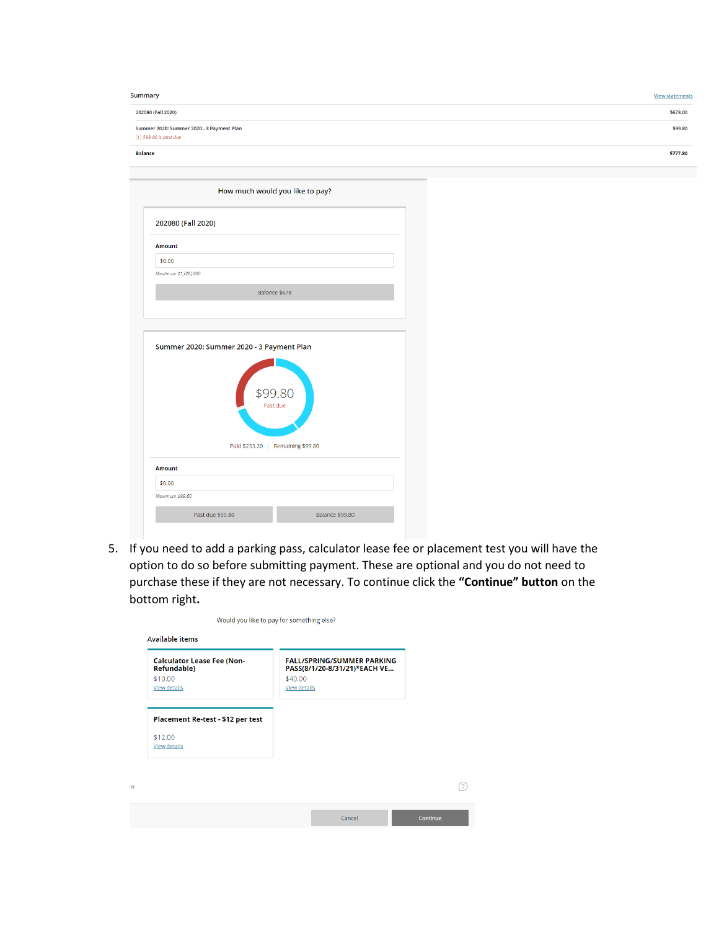| Summary                                                            | <b>View statements</b> |
|--------------------------------------------------------------------|------------------------|
| 202080 (Fall 2020)                                                 | \$678.00               |
| Summer 2020: Summer 2020 - 3 Payment Plan<br>1 \$99.80 is past due | \$99.80                |
| <b>Balance</b>                                                     | \$777.80               |

| 202080 (Fall 2020)  |                                                                                                       |  |  |  |
|---------------------|-------------------------------------------------------------------------------------------------------|--|--|--|
| <b>Amount</b>       |                                                                                                       |  |  |  |
| \$0.00              |                                                                                                       |  |  |  |
| Maximum \$1,000,000 |                                                                                                       |  |  |  |
|                     | Balance \$678                                                                                         |  |  |  |
|                     |                                                                                                       |  |  |  |
|                     |                                                                                                       |  |  |  |
|                     | Summer 2020: Summer 2020 - 3 Payment Plan<br>\$99.80<br>Past due<br>Paid \$233.20   Remaining \$99.80 |  |  |  |
| <b>Amount</b>       |                                                                                                       |  |  |  |

5. If you need to add a parking pass, calculator lease fee or placement test you will have the option to do so before submitting payment. These are optional and you do not need to purchase these if they are not necessary. To continue click the **"Continue" button** on the bottom right**.** 

 $\odot$ 

| <b>Calculator Lease Fee (Non-</b><br><b>Refundable)</b> | <b>FALL/SPRING/SUMMER PARKING</b><br>PASS(8/1/20-8/31/21)*EACH VE |
|---------------------------------------------------------|-------------------------------------------------------------------|
| \$10.00                                                 | \$40.00                                                           |
| <b>View details</b>                                     | <b>View details</b>                                               |
|                                                         |                                                                   |
| Placement Re-test - \$12 per test                       |                                                                   |
| \$12.00                                                 |                                                                   |
| <b>View details</b>                                     |                                                                   |
|                                                         |                                                                   |
|                                                         |                                                                   |